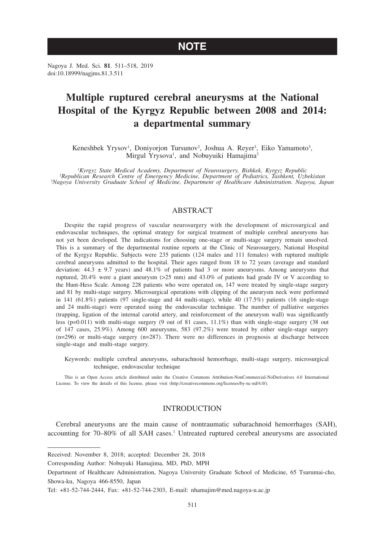## **NOTE**

Nagoya J. Med. Sci. **81**. 511–518, 2019 doi:10.18999/nagjms.81.3.511

# **Multiple ruptured cerebral aneurysms at the National Hospital of the Kyrgyz Republic between 2008 and 2014: a departmental summary**

Keneshbek Yrysov<sup>1</sup>, Doniyorjon Tursunov<sup>2</sup>, Joshua A. Reyer<sup>3</sup>, Eiko Yamamoto<sup>3</sup>, Mirgul Yrysova<sup>1</sup>, and Nobuyuiki Hamajima<sup>3</sup>

*1 Kyrgyz State Medical Academy, Department of Neurosurgery, Bishkek, Kyrgyz Republic <sup>2</sup> Republican Research Centre of Emergency Medicine, Department of Pediatrics, Tashkent, Uzbekistan <sup>3</sup> Nagoya University Graduate School of Medicine, Department of Healthcare Administration. Nagoya, Japan*

## ABSTRACT

Despite the rapid progress of vascular neurosurgery with the development of microsurgical and endovascular techniques, the optimal strategy for surgical treatment of multiple cerebral aneurysms has not yet been developed. The indications for choosing one-stage or multi-stage surgery remain unsolved. This is a summary of the departmental routine reports at the Clinic of Neurosurgery, National Hospital of the Kyrgyz Republic. Subjects were 235 patients (124 males and 111 females) with ruptured multiple cerebral aneurysms admitted to the hospital. Their ages ranged from 18 to 72 years (average and standard deviation:  $44.3 \pm 9.7$  years) and  $48.1\%$  of patients had 3 or more aneurysms. Among aneurysms that ruptured, 20.4% were a giant aneurysm (>25 mm) and 43.0% of patients had grade IV or V according to the Hunt-Hess Scale. Among 228 patients who were operated on, 147 were treated by single-stage surgery and 81 by multi-stage surgery. Microsurgical operations with clipping of the aneurysm neck were performed in 141 (61.8%) patients (97 single-stage and 44 multi-stage), while 40 (17.5%) patients (16 single-stage and 24 multi-stage) were operated using the endovascular technique. The number of palliative surgeries (trapping, ligation of the internal carotid artery, and reinforcement of the aneurysm wall) was significantly less (p=0.011) with multi-stage surgery (9 out of 81 cases, 11.1%) than with single-stage surgery (38 out of 147 cases, 25.9%). Among 600 aneurysms, 583 (97.2%) were treated by either single-stage surgery (n=296) or multi-stage surgery (n=287). There were no differences in prognosis at discharge between single-stage and multi-stage surgery.

Keywords: multiple cerebral aneurysms, subarachnoid hemorrhage, multi-stage surgery, microsurgical technique, endovascular technique

This is an Open Access article distributed under the Creative Commons Attribution-NonCommercial-NoDerivatives 4.0 International License. To view the details of this license, please visit (http://creativecommons.org/licenses/by-nc-nd/4.0/).

## INTRODUCTION

Cerebral aneurysms are the main cause of nontraumatic subarachnoid hemorrhages (SAH), accounting for 70–80% of all SAH cases.<sup>1</sup> Untreated ruptured cerebral aneurysms are associated

Received: November 8, 2018; accepted: December 28, 2018

Corresponding Author: Nobuyuki Hamajima, MD, PhD, MPH

Department of Healthcare Administration, Nagoya University Graduate School of Medicine, 65 Tsurumai-cho, Showa-ku, Nagoya 466-8550, Japan

Tel: +81-52-744-2444, Fax: +81-52-744-2303, E-mail: nhamajim@med.nagoya-u.ac.jp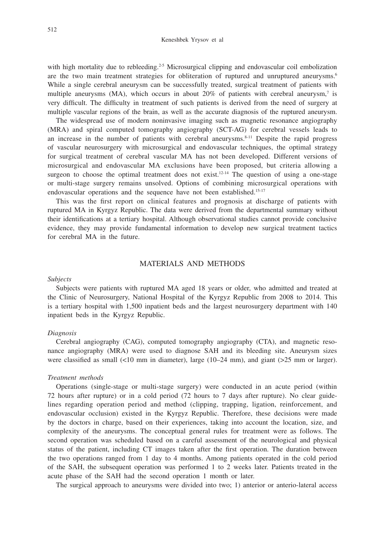with high mortality due to rebleeding.<sup>2-5</sup> Microsurgical clipping and endovascular coil embolization are the two main treatment strategies for obliteration of ruptured and unruptured aneurysms.<sup>6</sup> While a single cerebral aneurysm can be successfully treated, surgical treatment of patients with multiple aneurysms (MA), which occurs in about 20% of patients with cerebral aneurysm,<sup>7</sup> is very difficult. The difficulty in treatment of such patients is derived from the need of surgery at multiple vascular regions of the brain, as well as the accurate diagnosis of the ruptured aneurysm.

The widespread use of modern noninvasive imaging such as magnetic resonance angiography (MRA) and spiral computed tomography angiography (SCT-AG) for cerebral vessels leads to an increase in the number of patients with cerebral aneurysms.<sup>8-11</sup> Despite the rapid progress of vascular neurosurgery with microsurgical and endovascular techniques, the optimal strategy for surgical treatment of cerebral vascular MA has not been developed. Different versions of microsurgical and endovascular MA exclusions have been proposed, but criteria allowing a surgeon to choose the optimal treatment does not exist.<sup>12-14</sup> The question of using a one-stage or multi-stage surgery remains unsolved. Options of combining microsurgical operations with endovascular operations and the sequence have not been established.15-17

This was the first report on clinical features and prognosis at discharge of patients with ruptured MA in Kyrgyz Republic. The data were derived from the departmental summary without their identifications at a tertiary hospital. Although observational studies cannot provide conclusive evidence, they may provide fundamental information to develop new surgical treatment tactics for cerebral MA in the future.

## MATERIALS AND METHODS

## *Subjects*

Subjects were patients with ruptured MA aged 18 years or older, who admitted and treated at the Clinic of Neurosurgery, National Hospital of the Kyrgyz Republic from 2008 to 2014. This is a tertiary hospital with 1,500 inpatient beds and the largest neurosurgery department with 140 inpatient beds in the Kyrgyz Republic.

## *Diagnosis*

Cerebral angiography (CAG), computed tomography angiography (CTA), and magnetic resonance angiography (MRA) were used to diagnose SAH and its bleeding site. Aneurysm sizes were classified as small (<10 mm in diameter), large (10–24 mm), and giant (>25 mm or larger).

## *Treatment methods*

Operations (single-stage or multi-stage surgery) were conducted in an acute period (within 72 hours after rupture) or in a cold period (72 hours to 7 days after rupture). No clear guidelines regarding operation period and method (clipping, trapping, ligation, reinforcement, and endovascular occlusion) existed in the Kyrgyz Republic. Therefore, these decisions were made by the doctors in charge, based on their experiences, taking into account the location, size, and complexity of the aneurysms. The conceptual general rules for treatment were as follows. The second operation was scheduled based on a careful assessment of the neurological and physical status of the patient, including CT images taken after the first operation. The duration between the two operations ranged from 1 day to 4 months. Among patients operated in the cold period of the SAH, the subsequent operation was performed 1 to 2 weeks later. Patients treated in the acute phase of the SAH had the second operation 1 month or later.

The surgical approach to aneurysms were divided into two; 1) anterior or anterio-lateral access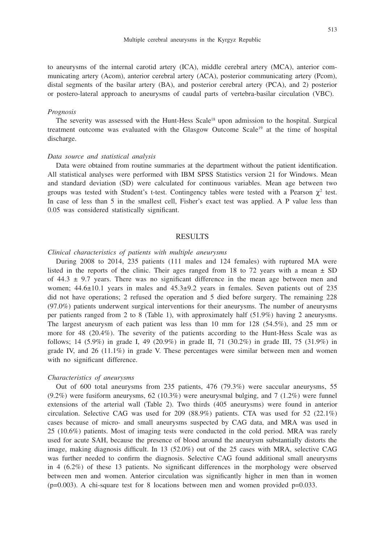to aneurysms of the internal carotid artery (ICA), middle cerebral artery (MCA), anterior communicating artery (Acom), anterior cerebral artery (ACA), posterior communicating artery (Pcom), distal segments of the basilar artery (BA), and posterior cerebral artery (PCA), and 2) posterior or postero-lateral approach to aneurysms of caudal parts of vertebra-basilar circulation (VBC).

#### *Prognosis*

The severity was assessed with the Hunt-Hess Scale<sup>18</sup> upon admission to the hospital. Surgical treatment outcome was evaluated with the Glasgow Outcome Scale<sup>19</sup> at the time of hospital discharge.

#### *Data source and statistical analysis*

Data were obtained from routine summaries at the department without the patient identification. All statistical analyses were performed with IBM SPSS Statistics version 21 for Windows. Mean and standard deviation (SD) were calculated for continuous variables. Mean age between two groups was tested with Student's t-test. Contingency tables were tested with a Pearson  $\chi^2$  test. In case of less than 5 in the smallest cell, Fisher's exact test was applied. A P value less than 0.05 was considered statistically significant.

## RESULTS

#### *Clinical characteristics of patients with multiple aneurysms*

During 2008 to 2014, 235 patients (111 males and 124 females) with ruptured MA were listed in the reports of the clinic. Their ages ranged from 18 to 72 years with a mean  $\pm$  SD of  $44.3 \pm 9.7$  years. There was no significant difference in the mean age between men and women;  $44.6 \pm 10.1$  years in males and  $45.3 \pm 9.2$  years in females. Seven patients out of 235 did not have operations; 2 refused the operation and 5 died before surgery. The remaining 228 (97.0%) patients underwent surgical interventions for their aneurysms. The number of aneurysms per patients ranged from 2 to 8 (Table 1), with approximately half (51.9%) having 2 aneurysms. The largest aneurysm of each patient was less than 10 mm for 128 (54.5%), and 25 mm or more for 48 (20.4%). The severity of the patients according to the Hunt-Hess Scale was as follows; 14 (5.9%) in grade I, 49 (20.9%) in grade II, 71 (30.2%) in grade III, 75 (31.9%) in grade IV, and  $26$  (11.1%) in grade V. These percentages were similar between men and women with no significant difference.

#### *Characteristics of aneurysms*

Out of 600 total aneurysms from 235 patients, 476 (79.3%) were saccular aneurysms, 55 (9.2%) were fusiform aneurysms, 62 (10.3%) were aneurysmal bulging, and 7 (1.2%) were funnel extensions of the arterial wall (Table 2). Two thirds (405 aneurysms) were found in anterior circulation. Selective CAG was used for 209 (88.9%) patients. CTA was used for 52 (22.1%) cases because of micro- and small aneurysms suspected by CAG data, and MRA was used in 25 (10.6%) patients. Most of imaging tests were conducted in the cold period. MRA was rarely used for acute SAH, because the presence of blood around the aneurysm substantially distorts the image, making diagnosis difficult. In 13 (52.0%) out of the 25 cases with MRA, selective CAG was further needed to confirm the diagnosis. Selective CAG found additional small aneurysms in 4 (6.2%) of these 13 patients. No significant differences in the morphology were observed between men and women. Anterior circulation was significantly higher in men than in women  $(p=0.003)$ . A chi-square test for 8 locations between men and women provided  $p=0.033$ .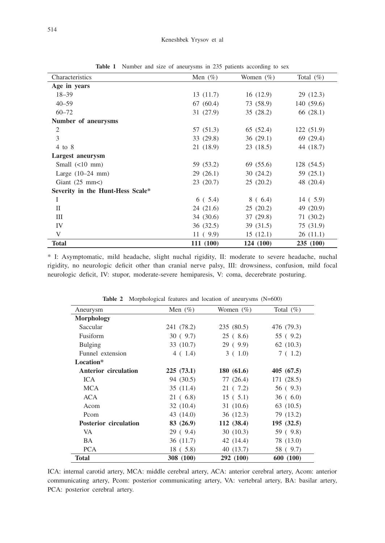| Characteristics                  | Men $(\% )$ | Women $(\%)$ | Total $(\%)$ |  |
|----------------------------------|-------------|--------------|--------------|--|
| Age in years                     |             |              |              |  |
| $18 - 39$                        | 13(11.7)    | 16(12.9)     | 29(12.3)     |  |
| $40 - 59$                        | 67(60.4)    | 73 (58.9)    | 140(59.6)    |  |
| $60 - 72$                        | 31(27.9)    | 35(28.2)     | 66 (28.1)    |  |
| Number of aneurysms              |             |              |              |  |
| 2                                | 57 (51.3)   | 65 (52.4)    | 122(51.9)    |  |
| 3                                | 33(29.8)    | 36(29.1)     | 69 (29.4)    |  |
| $4$ to $8$                       | 21(18.9)    | 23(18.5)     | 44 (18.7)    |  |
| Largest aneurysm                 |             |              |              |  |
| Small $(<10$ mm)                 | 59 (53.2)   | 69 (55.6)    | 128 (54.5)   |  |
| Large $(10-24$ mm)               | 29(26.1)    | 30(24.2)     | 59 (25.1)    |  |
| Giant $(25 \text{ mm})$          | 23(20.7)    | 25(20.2)     | 48 (20.4)    |  |
| Severity in the Hunt-Hess Scale* |             |              |              |  |
| $\mathbf I$                      | 6(5.4)      | 8(6.4)       | 14(5.9)      |  |
| П                                | 24(21.6)    | 25(20.2)     | 49 (20.9)    |  |
| Ш                                | 34 (30.6)   | 37(29.8)     | 71(30.2)     |  |
| IV                               | 36(32.5)    | 39(31.5)     | 75 (31.9)    |  |
| V                                | 11(9.9)     | 15(12.1)     | 26(11.1)     |  |
| <b>Total</b>                     | 111 (100)   | 124 (100)    | 235 (100)    |  |

Table 1 Number and size of aneurysms in 235 patients according to sex

\* I: Asymptomatic, mild headache, slight nuchal rigidity, II: moderate to severe headache, nuchal rigidity, no neurologic deficit other than cranial nerve palsy, III: drowsiness, confusion, mild focal neurologic deficit, IV: stupor, moderate-severe hemiparesis, V: coma, decerebrate posturing.

| <b>Table 2</b> Morphological features and location of aneurysms $(N=600)$ |             |              |               |  |  |
|---------------------------------------------------------------------------|-------------|--------------|---------------|--|--|
| Aneurysm                                                                  | Men $(\% )$ | Women $(\%)$ | Total $(\% )$ |  |  |
| <b>Morphology</b>                                                         |             |              |               |  |  |
| Saccular                                                                  | 241 (78.2)  | 235(80.5)    | 476 (79.3)    |  |  |
| Fusiform                                                                  | 30(9.7)     | 25(8.6)      | 55 (9.2)      |  |  |
| Bulging                                                                   | 33(10.7)    | 29(9.9)      | 62(10.3)      |  |  |
| Funnel extension                                                          | 4(1.4)      | 3(1.0)       | 7(1.2)        |  |  |
| Location*                                                                 |             |              |               |  |  |
| <b>Anterior circulation</b>                                               | 225(73.1)   | 180(61.6)    | 405 (67.5)    |  |  |
| ICA                                                                       | 94 (30.5)   | 77 (26.4)    | 171 (28.5)    |  |  |
| MCA                                                                       | 35(11.4)    | 21 ( 7.2)    | 56 (9.3)      |  |  |
| <b>ACA</b>                                                                | 21(6.8)     | 15(5.1)      | 36(6.0)       |  |  |
| Acom                                                                      | 32(10.4)    | 31(10.6)     | 63(10.5)      |  |  |
| Pcom                                                                      | 43 (14.0)   | 36(12.3)     | 79 (13.2)     |  |  |
| <b>Posterior circulation</b>                                              | 83(26.9)    | 112(38.4)    | 195(32.5)     |  |  |
| VA                                                                        | 29(9.4)     | 30(10.3)     | 59 (9.8)      |  |  |
| BA                                                                        | 36 (11.7)   | 42 (14.4)    | 78 (13.0)     |  |  |
| <b>PCA</b>                                                                | 18(5.8)     | 40 (13.7)    | 58 ( 9.7)     |  |  |
| <b>Total</b>                                                              | 308 (100)   | 292 (100)    | 600 (100)     |  |  |

**Table 2** Morphological features and location of aneurysms (N=600)

ICA: internal carotid artery, MCA: middle cerebral artery, ACA: anterior cerebral artery, Acom: anterior communicating artery, Pcom: posterior communicating artery, VA: vertebral artery, BA: basilar artery, PCA: posterior cerebral artery.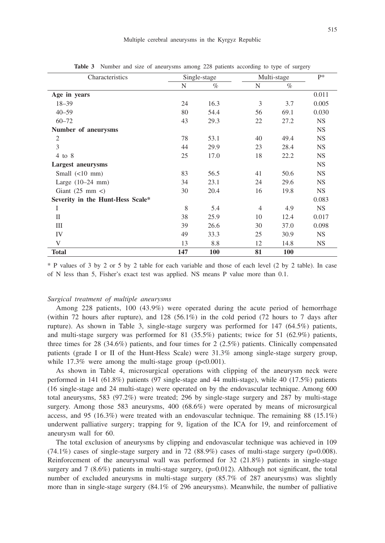| Characteristics                  | Single-stage |      | Multi-stage    |      | $P*$      |
|----------------------------------|--------------|------|----------------|------|-----------|
|                                  | N            | $\%$ | N              | $\%$ |           |
| Age in years                     |              |      |                |      | 0.011     |
| $18 - 39$                        | 24           | 16.3 | 3              | 3.7  | 0.005     |
| $40 - 59$                        | 80           | 54.4 | 56             | 69.1 | 0.030     |
| $60 - 72$                        | 43           | 29.3 | 22             | 27.2 | NS.       |
| Number of aneurysms              |              |      |                |      | NS.       |
| $\overline{c}$                   | 78           | 53.1 | 40             | 49.4 | <b>NS</b> |
| 3                                | 44           | 29.9 | 23             | 28.4 | <b>NS</b> |
| $4$ to $8$                       | 25           | 17.0 | 18             | 22.2 | <b>NS</b> |
| Largest aneurysms                |              |      |                |      | <b>NS</b> |
| Small $(\leq 10$ mm)             | 83           | 56.5 | 41             | 50.6 | <b>NS</b> |
| Large $(10-24$ mm)               | 34           | 23.1 | 24             | 29.6 | <b>NS</b> |
| Giant $(25 \text{ mm} <)$        | 30           | 20.4 | 16             | 19.8 | <b>NS</b> |
| Severity in the Hunt-Hess Scale* |              |      |                |      | 0.083     |
| Ι                                | 8            | 5.4  | $\overline{4}$ | 4.9  | <b>NS</b> |
| $\mathbf{I}$                     | 38           | 25.9 | 10             | 12.4 | 0.017     |
| Ш                                | 39           | 26.6 | 30             | 37.0 | 0.098     |
| IV                               | 49           | 33.3 | 25             | 30.9 | <b>NS</b> |
| V                                | 13           | 8.8  | 12             | 14.8 | NS.       |
| <b>Total</b>                     | 147          | 100  | 81             | 100  |           |

**Table 3** Number and size of aneurysms among 228 patients according to type of surgery

\* P values of 3 by 2 or 5 by 2 table for each variable and those of each level (2 by 2 table). In case of N less than 5, Fisher's exact test was applied. NS means P value more than 0.1.

## *Surgical treatment of multiple aneurysms*

Among 228 patients, 100 (43.9%) were operated during the acute period of hemorrhage (within 72 hours after rupture), and 128 (56.1%) in the cold period (72 hours to 7 days after rupture). As shown in Table 3, single-stage surgery was performed for 147 (64.5%) patients, and multi-stage surgery was performed for 81 (35.5%) patients; twice for 51 (62.9%) patients, three times for 28 (34.6%) patients, and four times for 2 (2.5%) patients. Clinically compensated patients (grade I or II of the Hunt-Hess Scale) were 31.3% among single-stage surgery group, while  $17.3\%$  were among the multi-stage group ( $p<0.001$ ).

As shown in Table 4, microsurgical operations with clipping of the aneurysm neck were performed in 141 (61.8%) patients (97 single-stage and 44 multi-stage), while 40 (17.5%) patients (16 single-stage and 24 multi-stage) were operated on by the endovascular technique. Among 600 total aneurysms, 583 (97.2%) were treated; 296 by single-stage surgery and 287 by multi-stage surgery. Among those 583 aneurysms, 400 (68.6%) were operated by means of microsurgical access, and 95 (16.3%) were treated with an endovascular technique. The remaining 88 (15.1%) underwent palliative surgery; trapping for 9, ligation of the ICA for 19, and reinforcement of aneurysm wall for 60.

The total exclusion of aneurysms by clipping and endovascular technique was achieved in 109  $(74.1\%)$  cases of single-stage surgery and in 72 (88.9%) cases of multi-stage surgery (p=0.008). Reinforcement of the aneurysmal wall was performed for 32 (21.8%) patients in single-stage surgery and  $7$  (8.6%) patients in multi-stage surgery, (p=0.012). Although not significant, the total number of excluded aneurysms in multi-stage surgery (85.7% of 287 aneurysms) was slightly more than in single-stage surgery (84.1% of 296 aneurysms). Meanwhile, the number of palliative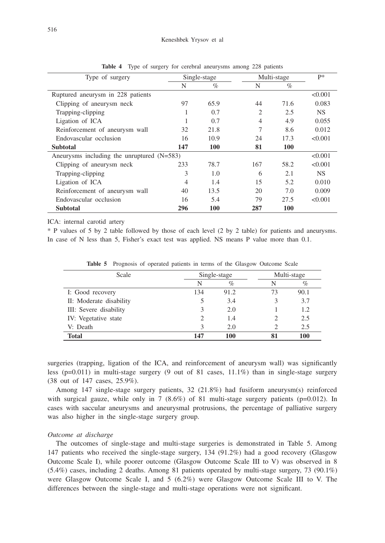| Type of surgery                              | Single-stage   |      |     | Multi-stage |         |
|----------------------------------------------|----------------|------|-----|-------------|---------|
|                                              | N              | $\%$ | N   | $\%$        |         |
| Ruptured aneurysm in 228 patients            |                |      |     |             | < 0.001 |
| Clipping of aneurysm neck                    | 97             | 65.9 | 44  | 71.6        | 0.083   |
| Trapping-clipping                            | 1              | 0.7  | 2   | 2.5         | NS.     |
| Ligation of ICA                              |                | 0.7  | 4   | 4.9         | 0.055   |
| Reinforcement of aneurysm wall               | 32             | 21.8 | 7   | 8.6         | 0.012   |
| Endovascular occlusion                       | 16             | 10.9 | 24  | 17.3        | < 0.001 |
| <b>Subtotal</b>                              | 147            | 100  | 81  | 100         |         |
| Aneurysms including the unruptured $(N=583)$ |                |      |     |             | < 0.001 |
| Clipping of aneurysm neck                    | 233            | 78.7 | 167 | 58.2        | < 0.001 |
| Trapping-clipping                            | 3              | 1.0  | 6   | 2.1         | NS.     |
| Ligation of ICA                              | $\overline{4}$ | 1.4  | 15  | 5.2         | 0.010   |
| Reinforcement of aneurysm wall               | 40             | 13.5 | 20  | 7.0         | 0.009   |
| Endovascular occlusion                       | 16             | 5.4  | 79  | 27.5        | < 0.001 |
| Subtotal                                     | 296            | 100  | 287 | 100         |         |

**Table 4** Type of surgery for cerebral aneurysms among 228 patients

ICA: internal carotid artery

\* P values of 5 by 2 table followed by those of each level (2 by 2 table) for patients and aneurysms. In case of N less than 5, Fisher's exact test was applied. NS means P value more than 0.1.

| Scale                   | Single-stage |      | Multi-stage |      |
|-------------------------|--------------|------|-------------|------|
|                         | N            | $\%$ | N           | $\%$ |
| I: Good recovery        | 134          | 91.2 | 73          | 90.1 |
| II: Moderate disability | 5            | 3.4  |             | 3.7  |
| III: Severe disability  |              | 2.0  |             | 1.2  |
| IV: Vegetative state    |              | 1.4  |             | 2.5  |
| V: Death                |              | 2.0  |             | 2.5  |
| <b>Total</b>            | 147          | 100  |             | 100  |

**Table 5** Prognosis of operated patients in terms of the Glasgow Outcome Scale

surgeries (trapping, ligation of the ICA, and reinforcement of aneurysm wall) was significantly less ( $p=0.011$ ) in multi-stage surgery (9 out of 81 cases, 11.1%) than in single-stage surgery (38 out of 147 cases, 25.9%).

Among 147 single-stage surgery patients, 32 (21.8%) had fusiform aneurysm(s) reinforced with surgical gauze, while only in 7  $(8.6\%)$  of 81 multi-stage surgery patients (p=0.012). In cases with saccular aneurysms and aneurysmal protrusions, the percentage of palliative surgery was also higher in the single-stage surgery group.

## *Outcome at discharge*

The outcomes of single-stage and multi-stage surgeries is demonstrated in Table 5. Among 147 patients who received the single-stage surgery, 134 (91.2%) had a good recovery (Glasgow Outcome Scale I), while poorer outcome (Glasgow Outcome Scale III to V) was observed in 8 (5.4%) cases, including 2 deaths. Among 81 patients operated by multi-stage surgery, 73 (90.1%) were Glasgow Outcome Scale I, and 5 (6.2%) were Glasgow Outcome Scale III to V. The differences between the single-stage and multi-stage operations were not significant.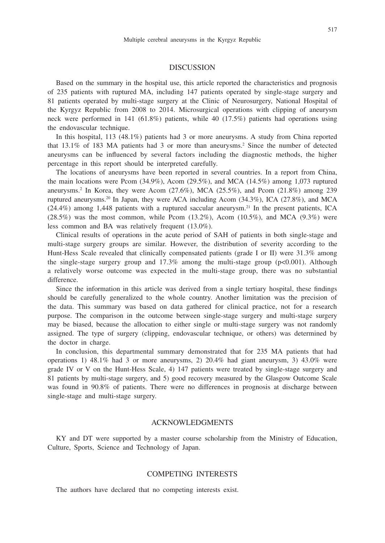#### **DISCUSSION**

Based on the summary in the hospital use, this article reported the characteristics and prognosis of 235 patients with ruptured MA, including 147 patients operated by single-stage surgery and 81 patients operated by multi-stage surgery at the Clinic of Neurosurgery, National Hospital of the Kyrgyz Republic from 2008 to 2014. Microsurgical operations with clipping of aneurysm neck were performed in 141 (61.8%) patients, while 40 (17.5%) patients had operations using the endovascular technique.

In this hospital, 113 (48.1%) patients had 3 or more aneurysms. A study from China reported that  $13.1\%$  of 183 MA patients had 3 or more than aneurysms.<sup>2</sup> Since the number of detected aneurysms can be influenced by several factors including the diagnostic methods, the higher percentage in this report should be interpreted carefully.

The locations of aneurysms have been reported in several countries. In a report from China, the main locations were Pcom  $(34.9\%)$ , Acom  $(29.5\%)$ , and MCA  $(14.5\%)$  among 1,073 ruptured aneurysms.<sup>2</sup> In Korea, they were Acom (27.6%), MCA (25.5%), and Pcom (21.8%) among 239 ruptured aneurysms.<sup>20</sup> In Japan, they were ACA including Acom  $(34.3\%)$ , ICA  $(27.8\%)$ , and MCA  $(24.4\%)$  among 1,448 patients with a ruptured saccular aneurysm.<sup>21</sup> In the present patients, ICA  $(28.5\%)$  was the most common, while Pcom  $(13.2\%)$ , Acom  $(10.5\%)$ , and MCA  $(9.3\%)$  were less common and BA was relatively frequent (13.0%).

Clinical results of operations in the acute period of SAH of patients in both single-stage and multi-stage surgery groups are similar. However, the distribution of severity according to the Hunt-Hess Scale revealed that clinically compensated patients (grade I or II) were 31.3% among the single-stage surgery group and  $17.3\%$  among the multi-stage group ( $p<0.001$ ). Although a relatively worse outcome was expected in the multi-stage group, there was no substantial difference.

Since the information in this article was derived from a single tertiary hospital, these findings should be carefully generalized to the whole country. Another limitation was the precision of the data. This summary was based on data gathered for clinical practice, not for a research purpose. The comparison in the outcome between single-stage surgery and multi-stage surgery may be biased, because the allocation to either single or multi-stage surgery was not randomly assigned. The type of surgery (clipping, endovascular technique, or others) was determined by the doctor in charge.

In conclusion, this departmental summary demonstrated that for 235 MA patients that had operations 1) 48.1% had 3 or more aneurysms, 2) 20.4% had giant aneurysm, 3) 43.0% were grade IV or V on the Hunt-Hess Scale, 4) 147 patients were treated by single-stage surgery and 81 patients by multi-stage surgery, and 5) good recovery measured by the Glasgow Outcome Scale was found in 90.8% of patients. There were no differences in prognosis at discharge between single-stage and multi-stage surgery.

## ACKNOWLEDGMENTS

KY and DT were supported by a master course scholarship from the Ministry of Education, Culture, Sports, Science and Technology of Japan.

## COMPETING INTERESTS

The authors have declared that no competing interests exist.